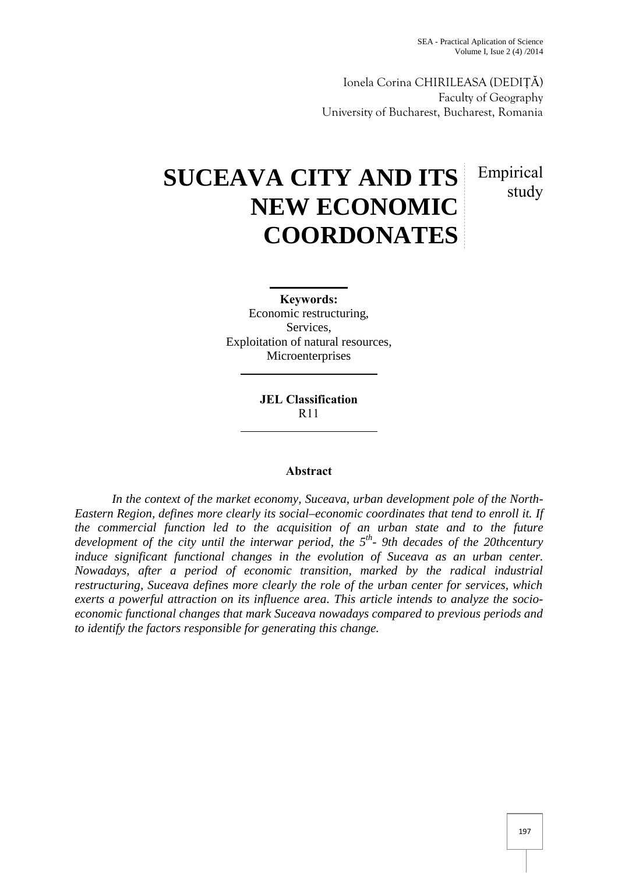Ionela Corina CHIRILEASA (DEDIȚĂ) Faculty of Geography University of Bucharest, Bucharest, Romania

# **SUCEAVA CITY AND ITS NEW ECONOMIC COORDONATES** Empirical study

**Keywords:** Economic restructuring, Services, Exploitation of natural resources, Microenterprises

> **JEL Classification** R11

# **Abstract**

*In the context of the market economy, Suceava, urban development pole of the North- Eastern Region, defines more clearly its social–economic coordinates that tend to enroll it. If the commercial function led to the acquisition of an urban state and to the future development of the city until the interwar period, the 5 th - 9th decades of the 20thcentury induce significant functional changes in the evolution of Suceava as an urban center. Nowadays, after a period of economic transition, marked by the radical industrial restructuring, Suceava defines more clearly the role of the urban center for services, which exerts a powerful attraction on its influence area. This article intends to analyze the socio economic functional changes that mark Suceava nowadays compared to previous periods and to identify the factors responsible for generating this change.*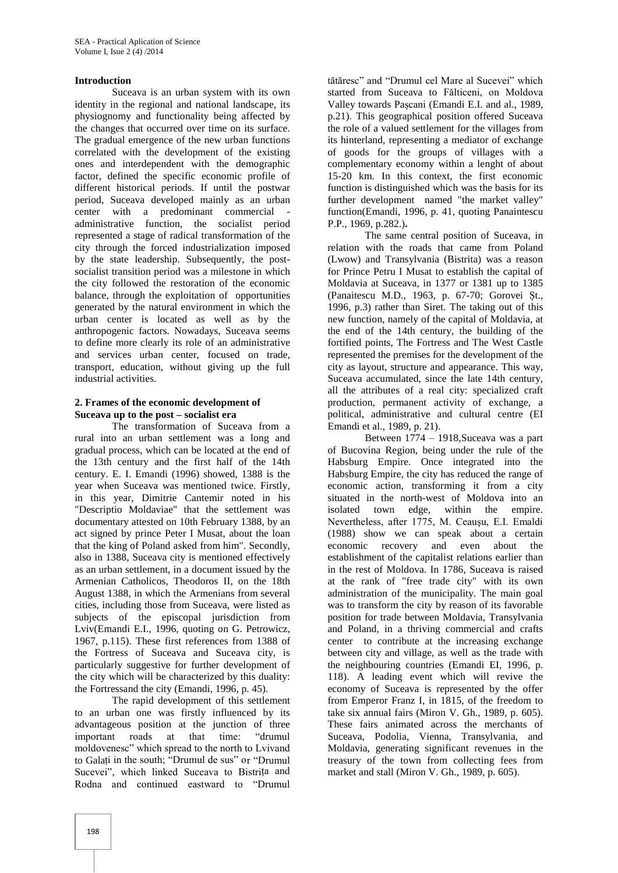#### **Introduction**

Suceava is an urban system with its own identity in the regional and national landscape, its physiognomy and functionality being affected by the changes that occurred over time on its surface. The gradual emergence of the new urban functions correlated with the development of the existing ones and interdependent with the demographic factor, defined the specific economic profile of different historical periods. If until the postwar period, Suceava developed mainly as an urban center with a predominant commercial administrative function, the socialist period represented a stage of radical transformation of the city through the forced industrialization imposed by the state leadership. Subsequently, the post socialist transition period was a milestone in which the city followed the restoration of the economic balance, through the exploitation of opportunities generated by the natural environment in which the urban center is located as well as by the anthropogenic factors. Nowadays, Suceava seems to define more clearly its role of an administrative and services urban center, focused on trade, transport, education, without giving up the full industrial activities.

## **2. Frames of the economic development of Suceava up to the post – socialist era**

The transformation of Suceava from a rural into an urban settlement was a long and gradual process, which can be located at the end of the 13th century and the first half of the 14th century. E. I. Emandi (1996) showed, 1388 is the year when Suceava was mentioned twice. Firstly, in this year, Dimitrie Cantemir noted in his "Descriptio Moldaviae" that the settlement was documentary attested on 10th February 1388, by an act signed by prince Peter I Musat, about the loan that the king of Poland asked from him". Secondly, also in 1388, Suceava city is mentioned effectively as an urban settlement, in a document issued by the Armenian Catholicos, Theodoros II, on the 18th August 1388, in which the Armenians from several cities, including those from Suceava, were listed as subjects of the episcopal jurisdiction from Lviv(Emandi E.I., 1996, quoting on G. Petrowicz, 1967, p.115). These first references from 1388 of the Fortress of Suceava and Suceava city, is particularly suggestive for further development of the city which will be characterized by this duality: the Fortressand the city (Emandi, 1996, p. 45).

The rapid development of this settlement to an urban one was firstly influenced by its advantageous position at the junction of three important roads at that time: "drumul moldovenesc" which spread to the north to Lvivand to Galați in the south; "Drumul de sus" or "Drumul Sucevei", which linked Suceava to Bistrița and Rodna and continued eastward to "Drumul

tătăresc" and "Drumul cel Mare al Sucevei" which started from Suceava to Fălticeni, on Moldova Valley towards Pașcani (Emandi E.I. and al., 1989, p.21). This geographical position offered Suceava the role of a valued settlement for the villages from its hinterland, representing a mediator of exchange of goods for the groups of villages with a complementary economy within a lenght of about 15-20 km. In this context, the first economic function is distinguished which was the basis for its further development named "the market valley" function(Emandi, 1996, p. 41, quoting Panaintescu P.P., 1969, p.282.)**.**

The same central position of Suceava, in relation with the roads that came from Poland (Lwow) and Transylvania (Bistrita) was a reason for Prince Petru I Musat to establish the capital of Moldavia at Suceava, in 1377 or 1381 up to 1385 (Panaitescu M.D., 1963, p. 67-70; Gorovei Șt., 1996, p.3) rather than Siret. The taking out of this new function, namely of the capital of Moldavia, at the end of the 14th century, the building of the fortified points, The Fortress and The West Castle represented the premises for the development of the city as layout, structure and appearance. This way, Suceava accumulated, since the late 14th century, all the attributes of a real city: specialized craft production, permanent activity of exchange, a political, administrative and cultural centre (EI Emandi et al., 1989, p. 21).

Between 1774 – 1918,Suceava was a part of Bucovina Region, being under the rule of the Habsburg Empire. Once integrated into the Habsburg Empire, the city has reduced the range of economic action, transforming it from a city situated in the north-west of Moldova into an isolated town edge, within the empire. Nevertheless, after 1775, M. Ceauşu, E.I. Emaldi (1988) show we can speak about a certain economic recovery and even about the establishment of the capitalist relations earlier than in the rest of Moldova. In 1786, Suceava is raised at the rank of "free trade city" with its own administration of the municipality. The main goal was to transform the city by reason of its favorable position for trade between Moldavia, Transylvania and Poland, in a thriving commercial and crafts center to contribute at the increasing exchange between city and village, as well as the trade with the neighbouring countries (Emandi EI, 1996, p. 118). A leading event which will revive the economy of Suceava is represented by the offer from Emperor Franz I, in 1815, of the freedom to take six annual fairs (Miron V. Gh., 1989, p. 605). These fairs animated across the merchants of Suceava, Podolia, Vienna, Transylvania, and Moldavia, generating significant revenues in the treasury of the town from collecting fees from market and stall (Miron V. Gh., 1989, p. 605).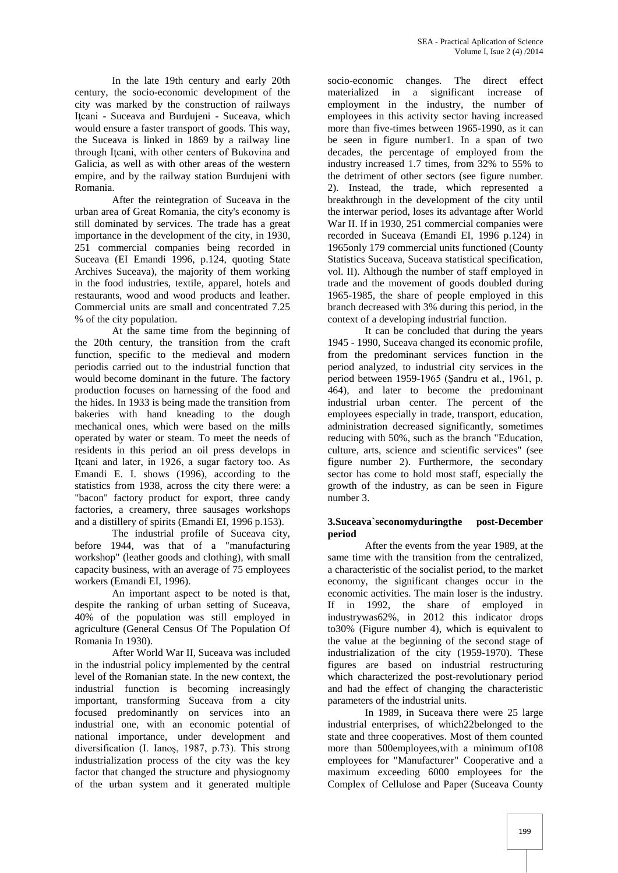In the late 19th century and early 20th century, the socio-economic development of the city was marked by the construction of railways Iţcani - Suceava and Burdujeni - Suceava, which would ensure a faster transport of goods. This way, the Suceava is linked in 1869 by a railway line through Itcani, with other centers of Bukovina and Galicia, as well as with other areas of the western empire, and by the railway station Burdujeni with Romania.

After the reintegration of Suceava in the urban area of Great Romania, the city's economy is still dominated by services. The trade has a great importance in the development of the city, in 1930, 251 commercial companies being recorded in Suceava (EI Emandi 1996, p.124, quoting State Archives Suceava), the majority of them working in the food industries, textile, apparel, hotels and restaurants, wood and wood products and leather. Commercial units are small and concentrated 7.25 % of the city population.

At the same time from the beginning of the 20th century, the transition from the craft function, specific to the medieval and modern periodis carried out to the industrial function that would become dominant in the future. The factory production focuses on harnessing of the food and the hides. In 1933 is being made the transition from bakeries with hand kneading to the dough mechanical ones, which were based on the mills operated by water or steam. To meet the needs of residents in this period an oil press develops in Iteani and later, in 1926, a sugar factory too. As Emandi E. I. shows (1996), according to the statistics from 1938, across the city there were: a "bacon" factory product for export, three candy factories, a creamery, three sausages workshops and a distillery of spirits (Emandi EI, 1996 p.153).

The industrial profile of Suceava city, before 1944, was that of a "manufacturing workshop" (leather goods and clothing), with small capacity business, with an average of 75 employees workers (Emandi EI, 1996).

An important aspect to be noted is that, despite the ranking of urban setting of Suceava, 40% of the population was still employed in agriculture (General Census Of The Population Of Romania In 1930).

After World War II, Suceava was included in the industrial policy implemented by the central level of the Romanian state. In the new context, the industrial function is becoming increasingly important, transforming Suceava from a city focused predominantly on services into an industrial one, with an economic potential of national importance, under development and diversification (I. Ianoş, 1987, p.73). This strong industrialization process of the city was the key factor that changed the structure and physiognomy of the urban system and it generated multiple

socio-economic changes. The direct effect materialized in a significant increase of employment in the industry, the number of employees in this activity sector having increased more than five-times between 1965-1990, as it can be seen in figure number1. In a span of two decades, the percentage of employed from the industry increased 1.7 times, from 32% to 55% to the detriment of other sectors (see figure number. 2). Instead, the trade, which represented a breakthrough in the development of the city until the interwar period, loses its advantage after World War II. If in 1930, 251 commercial companies were recorded in Suceava (Emandi EI, 1996 p.124) in 1965only 179 commercial units functioned (County Statistics Suceava, Suceava statistical specification, vol. II). Although the number of staff employed in trade and the movement of goods doubled during 1965-1985, the share of people employed in this branch decreased with 3% during this period, in the context of a developing industrial function.

It can be concluded that during the years 1945 - 1990, Suceava changed its economic profile, from the predominant services function in the period analyzed, to industrial city services in the period between 1959-1965 (Şandru et al., 1961, p. 464), and later to become the predominant industrial urban center. The percent of the employees especially in trade, transport, education, administration decreased significantly, sometimes reducing with 50%, such as the branch "Education, culture, arts, science and scientific services" (see figure number 2). Furthermore, the secondary sector has come to hold most staff, especially the growth of the industry, as can be seen in Figure number 3.

## **3.Suceava`seconomyduringthe post-December period**

After the events from the year 1989, at the same time with the transition from the centralized, a characteristic of the socialist period, to the market economy, the significant changes occur in the economic activities. The main loser is the industry. If in 1992, the share of employed in industrywas62%, in 2012 this indicator drops to30% (Figure number 4), which is equivalent to the value at the beginning of the second stage of industrialization of the city (1959-1970). These figures are based on industrial restructuring which characterized the post-revolutionary period and had the effect of changing the characteristic parameters of the industrial units.

In 1989, in Suceava there were 25 large industrial enterprises, of which22belonged to the state and three cooperatives. Most of them counted more than 500employees,with a minimum of108 employees for "Manufacturer" Cooperative and a maximum exceeding 6000 employees for the Complex of Cellulose and Paper (Suceava County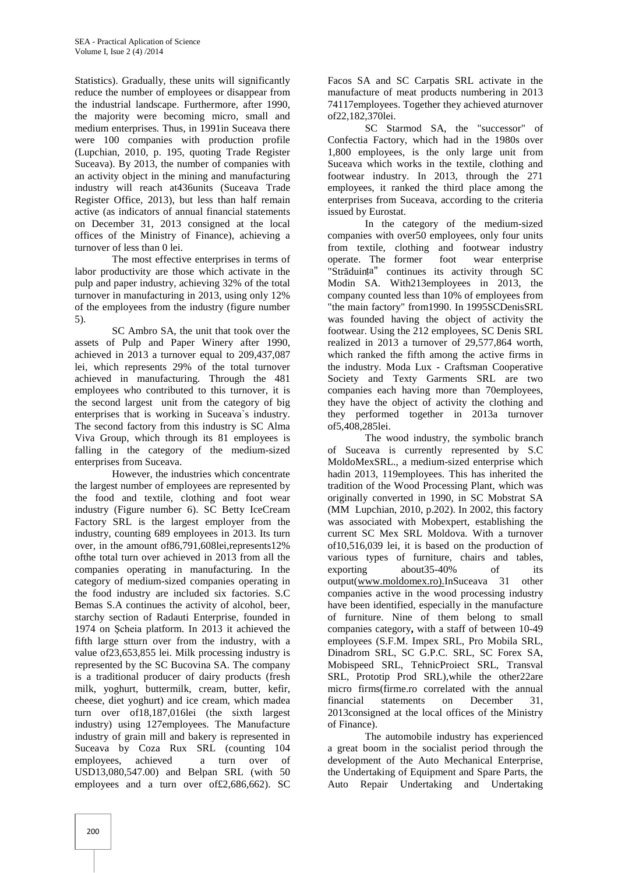Statistics). Gradually, these units will significantly reduce the number of employees or disappear from the industrial landscape. Furthermore, after 1990, the majority were becoming micro, small and medium enterprises. Thus, in 1991in Suceava there were 100 companies with production profile (Lupchian, 2010, p. 195, quoting Trade Register Suceava). By 2013, the number of companies with an activity object in the mining and manufacturing industry will reach at436units (Suceava Trade Register Office, 2013), but less than half remain active (as indicators of annual financial statements on December 31, 2013 consigned at the local offices of the Ministry of Finance), achieving a turnover of less than 0 lei.

The most effective enterprises in terms of labor productivity are those which activate in the pulp and paper industry, achieving 32% of the total turnover in manufacturing in 2013, using only 12% of the employees from the industry (figure number 5).

SC Ambro SA, the unit that took over the assets of Pulp and Paper Winery after 1990, achieved in 2013 a turnover equal to 209,437,087 lei, which represents 29% of the total turnover achieved in manufacturing. Through the 481 employees who contributed to this turnover, it is the second largest unit from the category of big enterprises that is working in Suceava`s industry. The second factory from this industry is SC Alma Viva Group, which through its 81 employees is falling in the category of the medium-sized enterprises from Suceava.

However, the industries which concentrate the largest number of employees are represented by the food and textile, clothing and foot wear industry (Figure number 6). SC Betty IceCream Factory SRL is the largest employer from the industry, counting 689 employees in 2013. Its turn over, in the amount of86,791,608lei,represents12% ofthe total turn over achieved in 2013 from all the companies operating in manufacturing. In the category of medium-sized companies operating in the food industry are included six factories. S.C Bemas S.A continues the activity of alcohol, beer, starchy section of Radauti Enterprise, founded in 1974 on Şcheia platform. In 2013 it achieved the fifth large stturn over from the industry, with a value of23,653,855 lei. Milk processing industry is represented by the SC Bucovina SA. The company is a traditional producer of dairy products (fresh milk, yoghurt, buttermilk, cream, butter, kefir, cheese, diet yoghurt) and ice cream, which madea turn over of18,187,016lei (the sixth largest industry) using 127employees. The Manufacture industry of grain mill and bakery is represented in Suceava by Coza Rux SRL (counting 104 employees, achieved a turn over of USD13,080,547.00) and Belpan SRL (with 50 employees and a turn over of£2,686,662). SC

Facos SA and SC Carpatis SRL activate in the manufacture of meat products numbering in 2013 74117employees. Together they achieved aturnover of22,182,370lei.

SC Starmod SA, the "successor" of Confectia Factory, which had in the 1980s over 1,800 employees, is the only large unit from Suceava which works in the textile, clothing and footwear industry. In 2013, through the 271 employees, it ranked the third place among the enterprises from Suceava, according to the criteria issued by Eurostat.

In the category of the medium-sized companies with over50 employees, only four units from textile, clothing and footwear industry operate. The former foot wear enterprise "Străduința" continues its activity through SC Modin SA. With213employees in 2013, the company counted less than 10% of employees from "the main factory" from1990. In 1995SCDenisSRL was founded having the object of activity the footwear. Using the 212 employees, SC Denis SRL realized in 2013 a turnover of 29,577,864 worth, which ranked the fifth among the active firms in the industry. Moda Lux - Craftsman Cooperative Society and Texty Garments SRL are two companies each having more than 70employees, they have the object of activity the clothing and they performed together in 2013a turnover of5,408,285lei.

The wood industry, the symbolic branch of Suceava is currently represented by S.C MoldoMexSRL., a medium-sized enterprise which hadin 2013, 119employees. This has inherited the tradition of the Wood Processing Plant, which was originally converted in 1990, in SC Mobstrat SA (MM Lupchian, 2010, p.202). In 2002, this factory was associated with Mobexpert, establishing the current SC Mex SRL Moldova. With a turnover of10,516,039 lei, it is based on the production of various types of furniture, chairs and tables, exporting about35-40% of its output(www.moldomex.ro).InSuceava 31 other companies active in the wood processing industry have been identified, especially in the manufacture of furniture. Nine of them belong to small companies category**,** with a staff of between 10-49 employees (S.F.M. Impex SRL, Pro Mobila SRL, Dinadrom SRL, SC G.P.C. SRL, SC Forex SA, Mobispeed SRL, TehnicProiect SRL, Transval SRL, Prototip Prod SRL),while the other22are micro firms(firme.ro correlated with the annual financial statements on December 31, 2013consigned at the local offices of the Ministry of Finance).

The automobile industry has experienced a great boom in the socialist period through the development of the Auto Mechanical Enterprise, the Undertaking of Equipment and Spare Parts, the Auto Repair Undertaking and Undertaking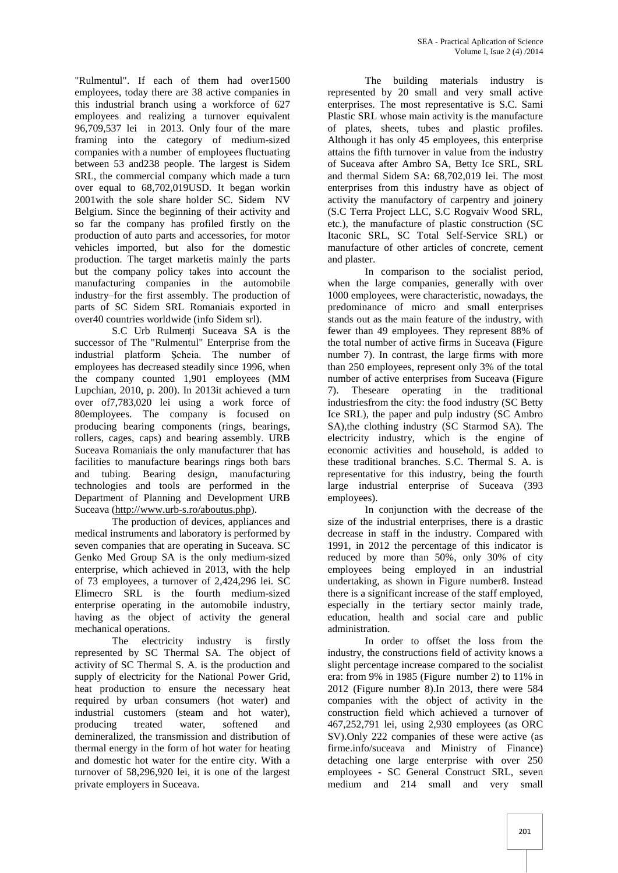"Rulmentul". If each of them had over1500 employees, today there are 38 active companies in this industrial branch using a workforce of 627 employees and realizing a turnover equivalent 96,709,537 lei in 2013. Only four of the mare framing into the category of medium-sized companies with a number of employees fluctuating between 53 and238 people. The largest is Sidem SRL, the commercial company which made a turn over equal to 68,702,019USD. It began workin 2001with the sole share holder SC. Sidem NV Belgium. Since the beginning of their activity and so far the company has profiled firstly on the production of auto parts and accessories, for motor vehicles imported, but also for the domestic production. The target marketis mainly the parts but the company policy takes into account the manufacturing companies in the automobile industry–for the first assembly. The production of parts of SC Sidem SRL Romaniais exported in over40 countries worldwide (info Sidem srl).

S.C Urb Rulmenți Suceava SA is the successor of The "Rulmentul" Enterprise from the industrial platform Şcheia. The number of employees has decreased steadily since 1996, when the company counted 1,901 employees (MM Lupchian, 2010, p. 200). In 2013it achieved a turn over of7,783,020 lei using a work force of 80employees. The company is focused on producing bearing components (rings, bearings, rollers, cages, caps) and bearing assembly. URB Suceava Romaniais the only manufacturer that has facilities to manufacture bearings rings both bars and tubing. Bearing design, manufacturing technologies and tools are performed in the Department of Planning and Development URB Suceava (http://www.urb-s.ro/aboutus.php).

The production of devices, appliances and medical instruments and laboratory is performed by seven companies that are operating in Suceava. SC Genko Med Group SA is the only medium-sized enterprise, which achieved in 2013, with the help of 73 employees, a turnover of 2,424,296 lei. SC Elimecro SRL is the fourth medium-sized enterprise operating in the automobile industry, having as the object of activity the general mechanical operations.

The electricity industry is firstly represented by SC Thermal SA. The object of activity of SC Thermal S. A. is the production and supply of electricity for the National Power Grid, heat production to ensure the necessary heat required by urban consumers (hot water) and industrial customers (steam and hot water), producing treated water, softened and demineralized, the transmission and distribution of thermal energy in the form of hot water for heating and domestic hot water for the entire city. With a turnover of 58,296,920 lei, it is one of the largest private employers in Suceava.

The building materials industry is represented by 20 small and very small active enterprises. The most representative is S.C. Sami Plastic SRL whose main activity is the manufacture of plates, sheets, tubes and plastic profiles. Although it has only 45 employees, this enterprise attains the fifth turnover in value from the industry of Suceava after Ambro SA, Betty Ice SRL, SRL and thermal Sidem SA: 68,702,019 lei. The most enterprises from this industry have as object of activity the manufactory of carpentry and joinery (S.C Terra Project LLC, S.C Rogvaiv Wood SRL, etc.), the manufacture of plastic construction (SC Itaconic SRL, SC Total Self-Service SRL) or manufacture of other articles of concrete, cement and plaster.

In comparison to the socialist period, when the large companies, generally with over 1000 employees, were characteristic, nowadays, the predominance of micro and small enterprises stands out as the main feature of the industry, with fewer than 49 employees. They represent 88% of the total number of active firms in Suceava (Figure number 7). In contrast, the large firms with more than 250 employees, represent only 3% of the total number of active enterprises from Suceava (Figure 7). Theseare operating in the traditional industriesfrom the city: the food industry (SC Betty Ice SRL), the paper and pulp industry (SC Ambro SA),the clothing industry (SC Starmod SA). The electricity industry, which is the engine of economic activities and household, is added to these traditional branches. S.C. Thermal S. A. is representative for this industry, being the fourth large industrial enterprise of Suceava (393 employees).

In conjunction with the decrease of the size of the industrial enterprises, there is a drastic decrease in staff in the industry. Compared with 1991, in 2012 the percentage of this indicator is reduced by more than 50%, only 30% of city employees being employed in an industrial undertaking, as shown in Figure number8. Instead there is a significant increase of the staff employed, especially in the tertiary sector mainly trade, education, health and social care and public administration.

In order to offset the loss from the industry, the constructions field of activity knows a slight percentage increase compared to the socialist era: from 9% in 1985 (Figure number 2) to 11% in 2012 (Figure number 8).In 2013, there were 584 companies with the object of activity in the construction field which achieved a turnover of 467,252,791 lei, using 2,930 employees (as ORC SV).Only 222 companies of these were active (as firme.info/suceava and Ministry of Finance) detaching one large enterprise with over 250 employees - SC General Construct SRL, seven medium and 214 small and very small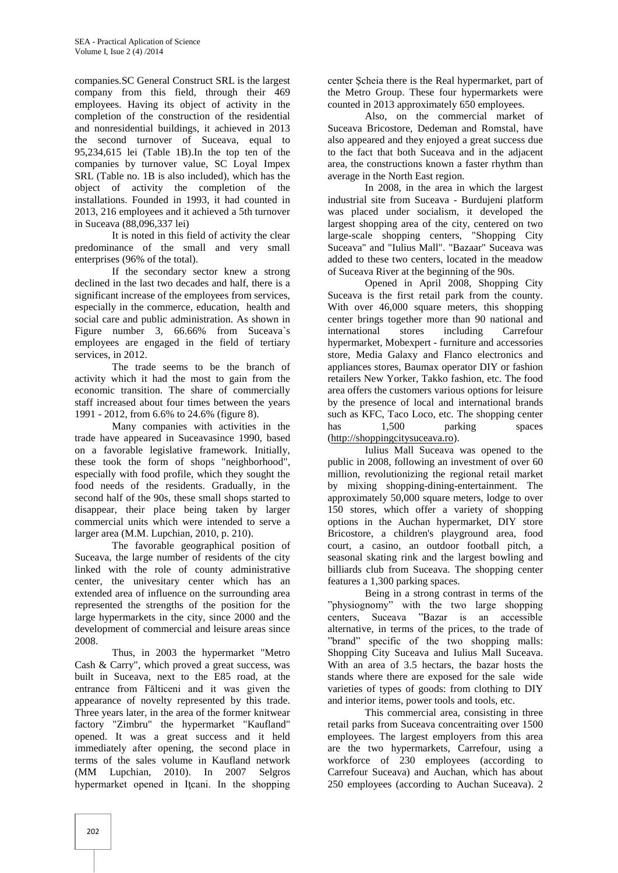companies.SC General Construct SRL is the largest company from this field, through their 469 employees. Having its object of activity in the completion of the construction of the residential and nonresidential buildings, it achieved in 2013 the second turnover of Suceava, equal to 95,234,615 lei (Table 1B).In the top ten of the companies by turnover value, SC Loyal Impex SRL (Table no. 1B is also included), which has the object of activity the completion of the installations. Founded in 1993, it had counted in 2013, 216 employees and it achieved a 5th turnover in Suceava (88,096,337 lei)

It is noted in this field of activity the clear predominance of the small and very small enterprises (96% of the total).

If the secondary sector knew a strong declined in the last two decades and half, there is a significant increase of the employees from services, especially in the commerce, education, health and social care and public administration. As shown in Figure number 3, 66.66% from Suceava's employees are engaged in the field of tertiary services, in 2012.

The trade seems to be the branch of activity which it had the most to gain from the economic transition. The share of commercially staff increased about four times between the years 1991 - 2012, from 6.6% to 24.6% (figure 8).

Many companies with activities in the trade have appeared in Suceavasince 1990, based on a favorable legislative framework. Initially, these took the form of shops "neighborhood", especially with food profile, which they sought the food needs of the residents. Gradually, in the second half of the 90s, these small shops started to disappear, their place being taken by larger commercial units which were intended to serve a larger area (M.M. Lupchian, 2010, p. 210).

The favorable geographical position of Suceava, the large number of residents of the city linked with the role of county administrative center, the univesitary center which has an extended area of influence on the surrounding area represented the strengths of the position for the large hypermarkets in the city, since 2000 and the development of commercial and leisure areas since 2008.

Thus, in 2003 the hypermarket "Metro Cash & Carry", which proved a great success, was built in Suceava, next to the E85 road, at the entrance from Fălticeni and it was given the appearance of novelty represented by this trade. Three years later, in the area of the former knitwear factory "Zimbru" the hypermarket "Kaufland" opened. It was a great success and it held immediately after opening, the second place in terms of the sales volume in Kaufland network (MM Lupchian, 2010). In 2007 Selgros hypermarket opened in Iţcani. In the shopping

center Şcheia there is the Real hypermarket, part of the Metro Group. These four hypermarkets were counted in 2013 approximately 650 employees.

Also, on the commercial market of Suceava Bricostore, Dedeman and Romstal, have also appeared and they enjoyed a great success due to the fact that both Suceava and in the adjacent area, the constructions known a faster rhythm than average in the North East region.

In 2008, in the area in which the largest industrial site from Suceava - Burdujeni platform was placed under socialism, it developed the largest shopping area of the city, centered on two large-scale shopping centers, "Shopping City Suceava" and "Iulius Mall". "Bazaar" Suceava was added to these two centers, located in the meadow of Suceava River at the beginning of the 90s.

Opened in April 2008, Shopping City Suceava is the first retail park from the county. With over 46,000 square meters, this shopping center brings together more than 90 national and international stores including Carrefour hypermarket, Mobexpert - furniture and accessories store, Media Galaxy and Flanco electronics and appliances stores, Baumax operator DIY or fashion retailers New Yorker, Takko fashion, etc. The food area offers the customers various options for leisure by the presence of local and international brands such as KFC, Taco Loco, etc. The shopping center has 1,500 parking spaces (http://shoppingcitysuceava.ro).

Iulius Mall Suceava was opened to the public in 2008, following an investment of over 60 million, revolutionizing the regional retail market by mixing shopping-dining-entertainment. The approximately 50,000 square meters, lodge to over 150 stores, which offer a variety of shopping options in the Auchan hypermarket, DIY store Bricostore, a children's playground area, food court, a casino, an outdoor football pitch, a seasonal skating rink and the largest bowling and billiards club from Suceava. The shopping center features a 1,300 parking spaces.

Being in a strong contrast in terms of the "physiognomy" with the two large shopping centers, Suceava "Bazar is an accessible alternative, in terms of the prices, to the trade of "brand" specific of the two shopping malls: Shopping City Suceava and Iulius Mall Suceava. With an area of 3.5 hectars, the bazar hosts the stands where there are exposed for the sale wide varieties of types of goods: from clothing to DIY and interior items, power tools and tools, etc.

This commercial area, consisting in three retail parks from Suceava concentraiting over 1500 employees. The largest employers from this area are the two hypermarkets, Carrefour, using a workforce of 230 employees (according to Carrefour Suceava) and Auchan, which has about 250 employees (according to Auchan Suceava). 2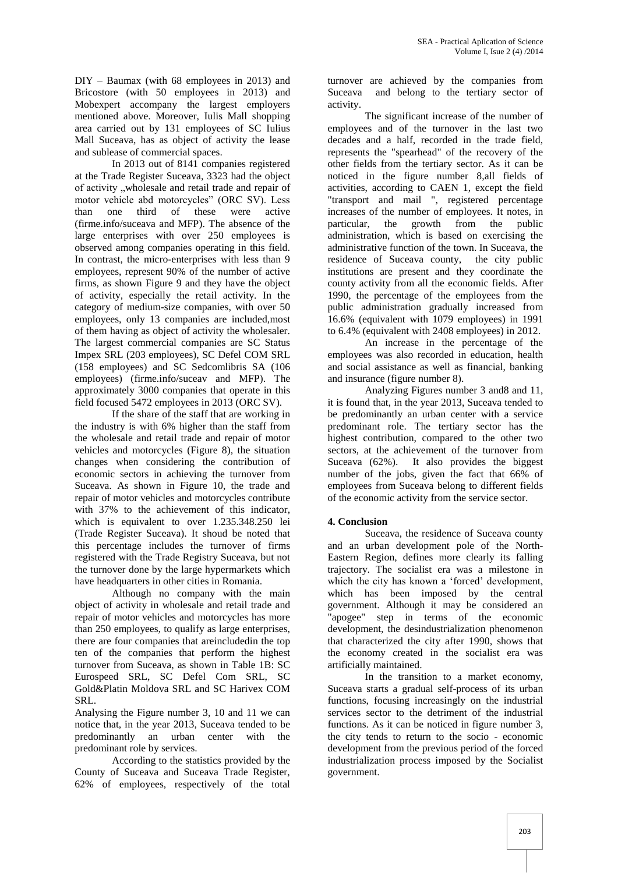DIY – Baumax (with 68 employees in 2013) and Bricostore (with 50 employees in 2013) and Mobexpert accompany the largest employers mentioned above. Moreover, Iulis Mall shopping area carried out by 131 employees of SC Iulius Mall Suceava, has as object of activity the lease and sublease of commercial spaces.

In 2013 out of 8141 companies registered at the Trade Register Suceava, 3323 had the object of activity "wholesale and retail trade and repair of motor vehicle abd motorcycles" (ORC SV). Less than one third of these were active (firme.info/suceava and MFP). The absence of the large enterprises with over 250 employees is observed among companies operating in this field. In contrast, the micro-enterprises with less than 9 employees, represent 90% of the number of active firms, as shown Figure 9 and they have the object of activity, especially the retail activity. In the category of medium-size companies, with over 50 employees, only 13 companies are included,most of them having as object of activity the wholesaler. The largest commercial companies are SC Status Impex SRL (203 employees), SC Defel COM SRL (158 employees) and SC Sedcomlibris SA (106 employees) (firme.info/suceav and MFP). The approximately 3000 companies that operate in this field focused 5472 employees in 2013 (ORC SV).

If the share of the staff that are working in the industry is with 6% higher than the staff from the wholesale and retail trade and repair of motor vehicles and motorcycles (Figure 8), the situation changes when considering the contribution of economic sectors in achieving the turnover from Suceava. As shown in Figure 10, the trade and repair of motor vehicles and motorcycles contribute with 37% to the achievement of this indicator, which is equivalent to over 1.235.348.250 lei (Trade Register Suceava). It shoud be noted that this percentage includes the turnover of firms registered with the Trade Registry Suceava, but not the turnover done by the large hypermarkets which have headquarters in other cities in Romania.

Although no company with the main object of activity in wholesale and retail trade and repair of motor vehicles and motorcycles has more than 250 employees, to qualify as large enterprises, there are four companies that areincludedin the top ten of the companies that perform the highest turnover from Suceava, as shown in Table 1B: SC Eurospeed SRL, SC Defel Com SRL, SC Gold&Platin Moldova SRL and SC Harivex COM SRL.

Analysing the Figure number 3, 10 and 11 we can notice that, in the year 2013, Suceava tended to be predominantly an urban center with the predominant role by services.

According to the statistics provided by the County of Suceava and Suceava Trade Register, 62% of employees, respectively of the total turnover are achieved by the companies from Suceava and belong to the tertiary sector of activity.

The significant increase of the number of employees and of the turnover in the last two decades and a half, recorded in the trade field, represents the "spearhead" of the recovery of the other fields from the tertiary sector. As it can be noticed in the figure number 8,all fields of activities, according to CAEN 1, except the field "transport and mail ", registered percentage increases of the number of employees. It notes, in particular, the growth from the public administration, which is based on exercising the administrative function of the town. In Suceava, the residence of Suceava county, the city public institutions are present and they coordinate the county activity from all the economic fields. After 1990, the percentage of the employees from the public administration gradually increased from 16.6% (equivalent with 1079 employees) in 1991 to 6.4% (equivalent with 2408 employees) in 2012.

An increase in the percentage of the employees was also recorded in education, health and social assistance as well as financial, banking and insurance (figure number 8).

Analyzing Figures number 3 and8 and 11, it is found that, in the year 2013, Suceava tended to be predominantly an urban center with a service predominant role. The tertiary sector has the highest contribution, compared to the other two sectors, at the achievement of the turnover from Suceava (62%). It also provides the biggest number of the jobs, given the fact that 66% of employees from Suceava belong to different fields of the economic activity from the service sector.

## **4. Conclusion**

Suceava, the residence of Suceava county and an urban development pole of the North- Eastern Region, defines more clearly its falling trajectory. The socialist era was a milestone in which the city has known a 'forced' development, which has been imposed by the central government. Although it may be considered an "apogee" step in terms of the economic development, the desindustrialization phenomenon that characterized the city after 1990, shows that the economy created in the socialist era was artificially maintained.

In the transition to a market economy, Suceava starts a gradual self-process of its urban functions, focusing increasingly on the industrial services sector to the detriment of the industrial functions. As it can be noticed in figure number 3, the city tends to return to the socio - economic development from the previous period of the forced industrialization process imposed by the Socialist government.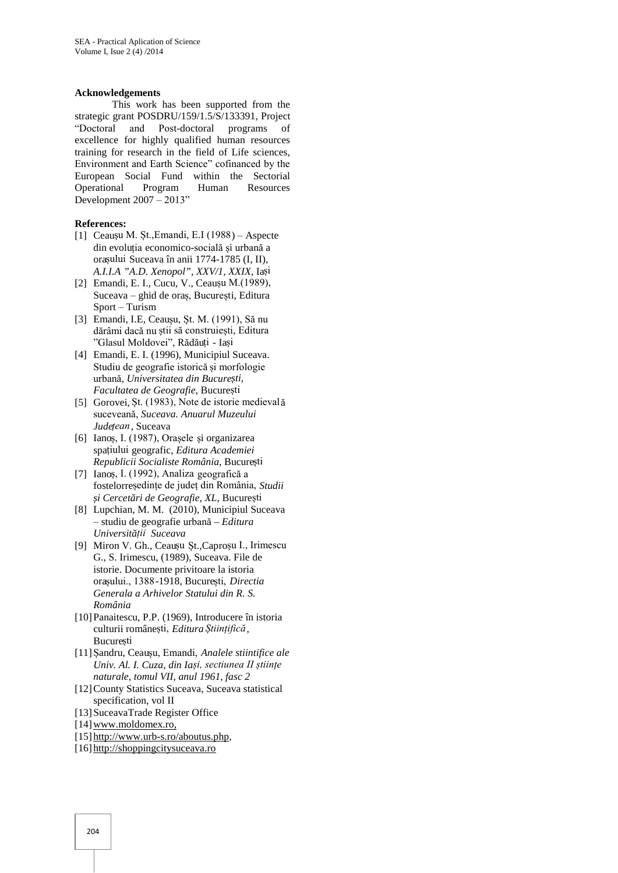#### **Acknowledgements**

This work has been supported from the strategic grant POSDRU/159/1.5/S/133391, Project "Doctoral and Post-doctoral programs of excellence for highly qualified human resources training for research in the field of Life sciences, Environment and Earth Science" cofinanced by the European Social Fund within the Sectorial Operational Program Human Resources Development 2007 – 2013"

#### **References:**

- [1] Ceaușu M. Șt.,Emandi, E.I (1988) Aspecte din evoluția economico-socială și urbană a orașului Suceava în anii 1774-1785 (I, II), *A.I.I.A "A.D. Xenopol", XXV/1, XXIX*, Iași
- [2] Emandi, E. I., Cucu, V., Ceaușu M.(1989), Suceava – ghid de oraș, București, Editura Sport – Turism
- [3] Emandi, I.E, Ceaușu, Șt. M. (1991), Să nu dărâmi dacă nu știi să construiești, Editura "Glasul Moldovei", Rădăuți - Iași
- [4] Emandi, E. I. (1996), Municipiul Suceava. Studiu de geografie istorică și morfologie urbană, *Universitatea din București, Facultatea de Geografie*, București
- [5] Gorovei, Șt. (1983), Note de istorie medievală suceveană, *Suceava. Anuarul Muzeului Județean*, Suceava
- [6] Ianoș, I. (1987), Orașele și organizarea spațiului geografic, *Editura Academiei Republicii Socialiste România*, București
- [7] Ianoș, I. (1992), Analiza geografică a fostelorreședințe de județ din România, *Studii*  $i$  *Cercet ri de Geografie, XL*, București
- [8] Lupchian, M. M. (2010), Municipiul Suceava – studiu de geografie urbană *– Editura Universității Suceava*
- [9] Miron V. Gh., Ceaușu Șt.,Caproșu I., Irimescu G., S. Irimescu, (1989), Suceava. File de istorie. Documente privitoare la istoria orașului., 1388-1918, București, *Directia Generala a Arhivelor Statului din R. S. România*
- [10]Panaitescu, P.P. (1969), Introducere în istoria culturii românești, *Editura Științifică*, București
- [11]Șandru, Ceaușu, Emandi, *Analele stiintifice ale Univ. Al. I. Cuza, din Iași, sectiunea II științe naturale, tomul VII, anul 1961, fasc 2*
- [12]County Statistics Suceava, Suceava statistical specification, vol II
- [13]SuceavaTrade Register Office
- [14] www.moldomex.ro,
- [15] http://www.urb-s.ro/aboutus.php,
- [16] http://shoppingcitysuceava.ro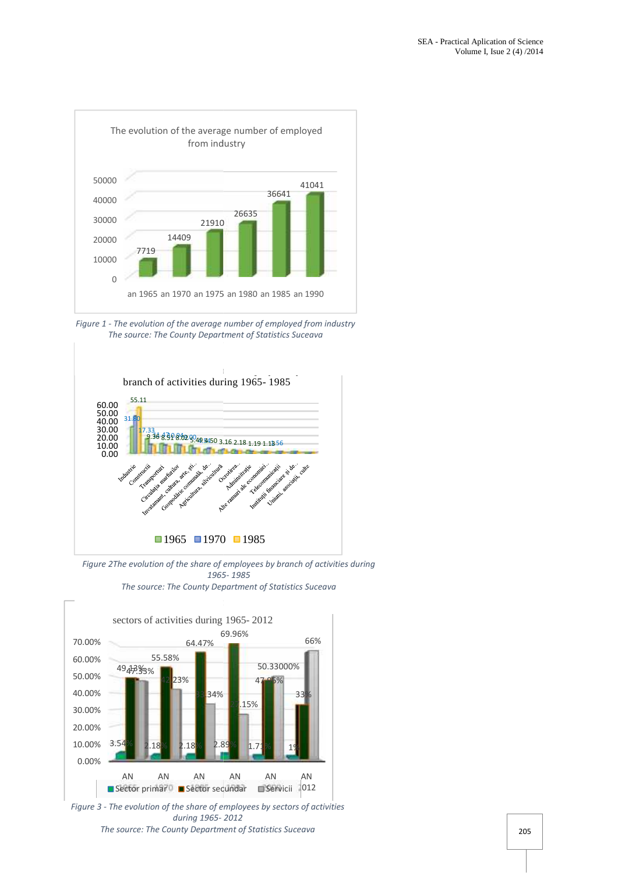

*Figure 1 - The evolution of the average number of employed from industry -The source: The County Department of Statistics Suceava*



*Figure 2The evolution of the share of employees by branch of activities during 1965- 1985 The source: The County Department of Statistics Suceava*



*Figure 3 - The evolution of the share of employees by sectors of activities during 1965- 2012 The source: The County Department of Statistics Suceava*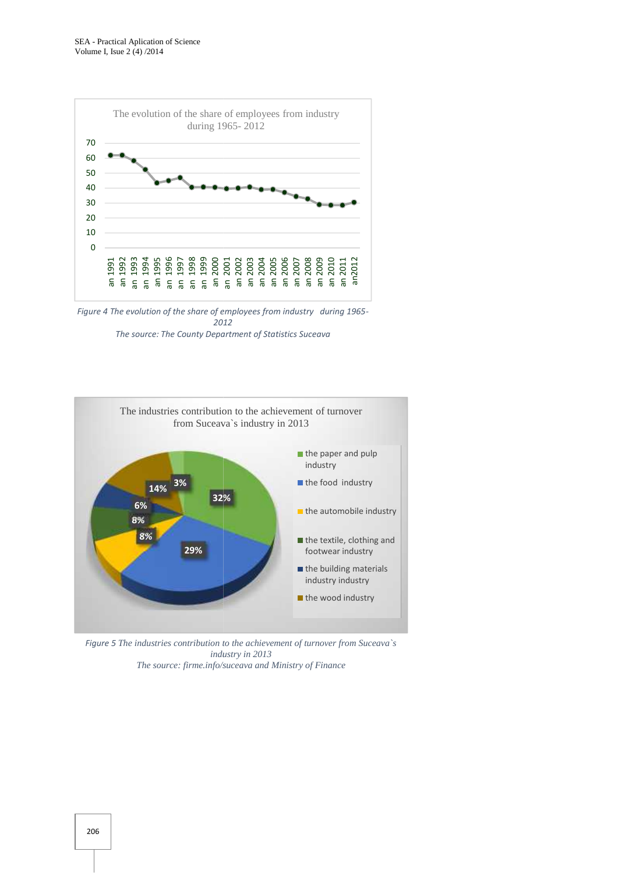

*Figure 4 The evolution of the share of employees from industry during 1965- Figure from industry 2012 The source: The County Department of Statistics Suceava*



*Figure 5 The industries contribution to the achievement of turnover from Suceava`s from Suceava`sindustry in The source: Ministry of Financeindustry in 2013 The source: firme.info/suceava and Ministry of Finance*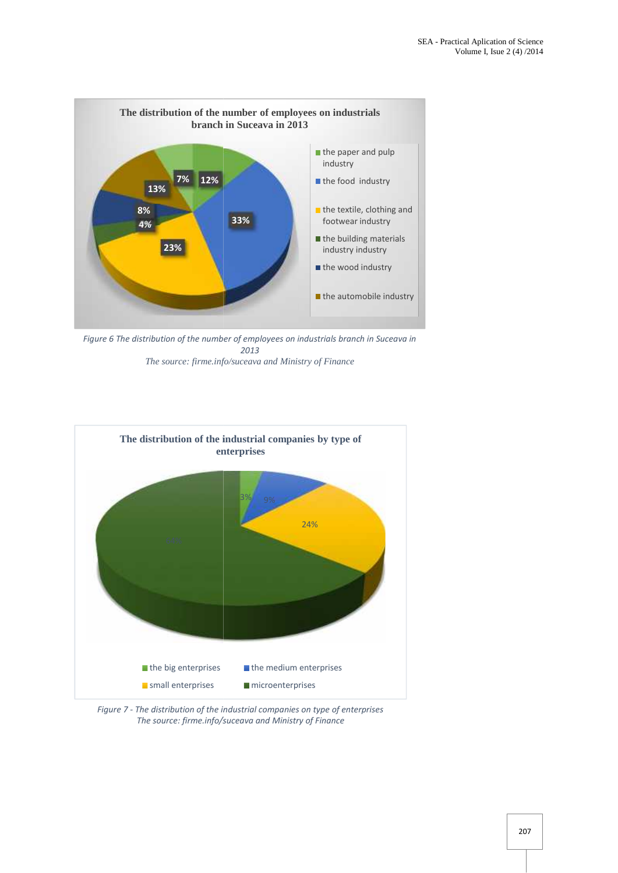

*Figure 6 The distribution of the number of employees on industrials branch in Suceava in number branch in 2013 The source: firme.info/suceava and Ministry of Finance and Ministry* 



Figure 7 - The distribution of the industrial companies on type of enterprises *The source: firme.info/suceava and Ministry of Finance*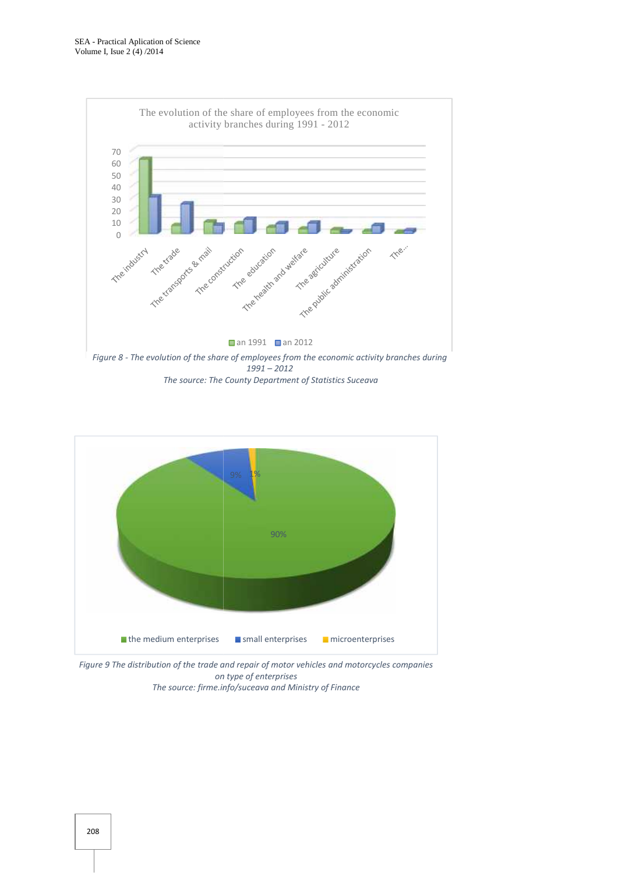



*Figure 9 The distribution of the trade and repair of motor vehicles and motorcycles companies on type of enterprises The source: firme.info/suceava and Ministry of Finance*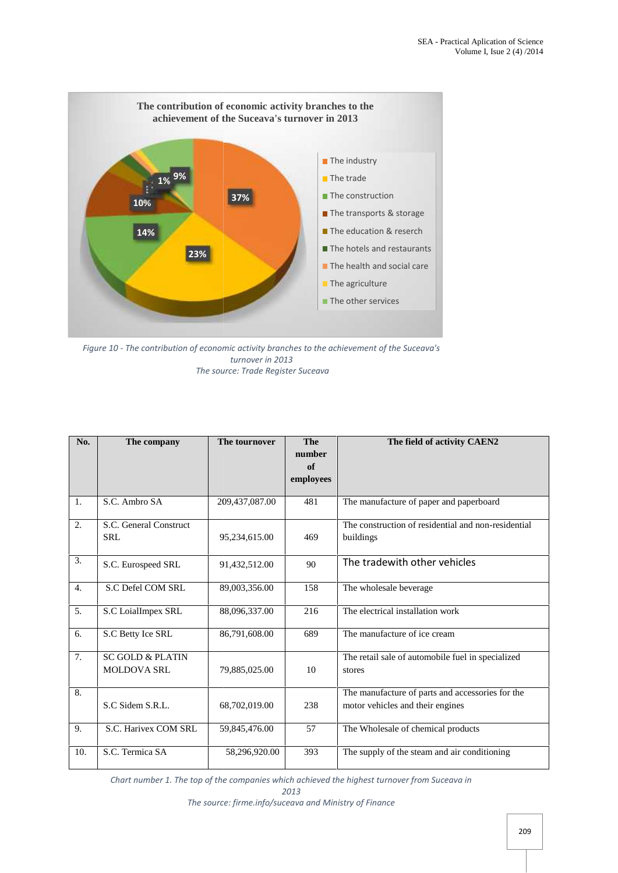

*Figure 10 - The contribution of economic activity branches to the achievement of the Suceava's activity branches turnover in 2013 The source: Trade Register Suceava*

| No.              | The company                                       | The tournover  | The<br>number<br>of<br>employees | The field of activity CAEN2                                                          |
|------------------|---------------------------------------------------|----------------|----------------------------------|--------------------------------------------------------------------------------------|
| 1.               | S.C. Ambro SA                                     | 209,437,087.00 | 481                              | The manufacture of paper and paperboard                                              |
| 2.               | S.C. General Construct<br><b>SRL</b>              | 95,234,615.00  | 469                              | The construction of residential and non-residential<br>buildings                     |
| 3.               | S.C. Eurospeed SRL                                | 91,432,512.00  | 90                               | The tradewith other vehicles                                                         |
| $\overline{4}$ . | S.C Defel COM SRL                                 | 89,003,356.00  | 158                              | The wholesale beverage                                                               |
| 5.               | S.C LoialImpex SRL                                | 88,096,337.00  | 216                              | The electrical installation work                                                     |
| 6.               | S.C Betty Ice SRL                                 | 86,791,608.00  | 689                              | The manufacture of ice cream                                                         |
| 7.               | <b>SC GOLD &amp; PLATIN</b><br><b>MOLDOVA SRL</b> | 79,885,025.00  | 10                               | The retail sale of automobile fuel in specialized<br>stores                          |
| 8.               | S.C Sidem S.R.L.                                  | 68,702,019.00  | 238                              | The manufacture of parts and accessories for the<br>motor vehicles and their engines |
| 9.               | S.C. Harivex COM SRL                              | 59,845,476.00  | 57                               | The Wholesale of chemical products                                                   |
| 10.              | S.C. Termica SA                                   | 58,296,920.00  | 393                              | The supply of the steam and air conditioning                                         |

*The source: firme.info/suceava and Ministry of Finance*